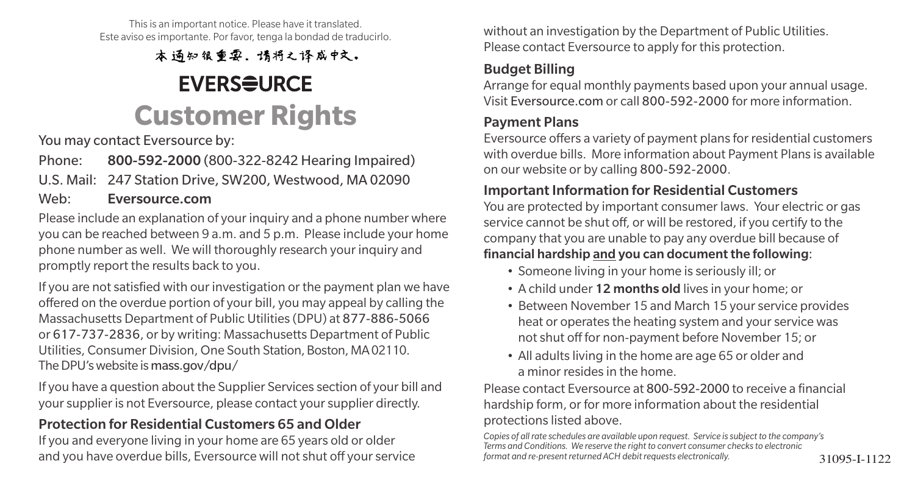This is an important notice. Please have it translated. Este aviso es importante. Por favor, tenga la bondad de traducirlo.

本通知很重要。请将之译成中文。

## **EVERSEURCE Customer Rights**

You may contact Eversource by:

Phone: 800-592-2000 (800-322-8242 Hearing Impaired)

U.S. Mail: 247 Station Drive, SW200, Westwood, MA 02090

#### Web: Eversource.com

Please include an explanation of your inquiry and a phone number where you can be reached between 9 a.m. and 5 p.m. Please include your home phone number as well. We will thoroughly research your inquiry and promptly report the results back to you.

If you are not satisfied with our investigation or the payment plan we have offered on the overdue portion of your bill, you may appeal by calling the Massachusetts Department of Public Utilities (DPU) at 877-886-5066 or 617-737-2836, or by writing: Massachusetts Department of Public Utilities, Consumer Division, One South Station, Boston, MA 02110. The DPU's website is mass.gov/dpu/

If you have a question about the Supplier Services section of your bill and your supplier is not Eversource, please contact your supplier directly.

### Protection for Residential Customers 65 and Older

If you and everyone living in your home are 65 years old or older and you have overdue bills, Eversource will not shut off your service formational re-present returned ACH debit requests electronically. 31095-I-1122

without an investigation by the Department of Public Utilities. Please contact Eversource to apply for this protection.

### Budget Billing

Arrange for equal monthly payments based upon your annual usage. Visit Eversource.com or call 800-592-2000 for more information.

### Payment Plans

Eversource offers a variety of payment plans for residential customers with overdue bills. More information about Payment Plans is available on our website or by calling 800-592-2000.

#### Important Information for Residential Customers

You are protected by important consumer laws. Your electric or gas service cannot be shut off, or will be restored, if you certify to the company that you are unable to pay any overdue bill because of financial hardship and you can document the following:

- Someone living in your home is seriously ill; or
- A child under 12 months old lives in your home; or
- Between November 15 and March 15 your service provides heat or operates the heating system and your service was not shut off for non-payment before November 15; or
- All adults living in the home are age 65 or older and a minor resides in the home.

Please contact Eversource at 800-592-2000 to receive a financial hardship form, or for more information about the residential protections listed above.

*Copies of all rate schedules are available upon request. Service is subject to the company's Terms and Conditions. We reserve the right to convert consumer checks to electronic format and re-present returned ACH debit requests electronically.*